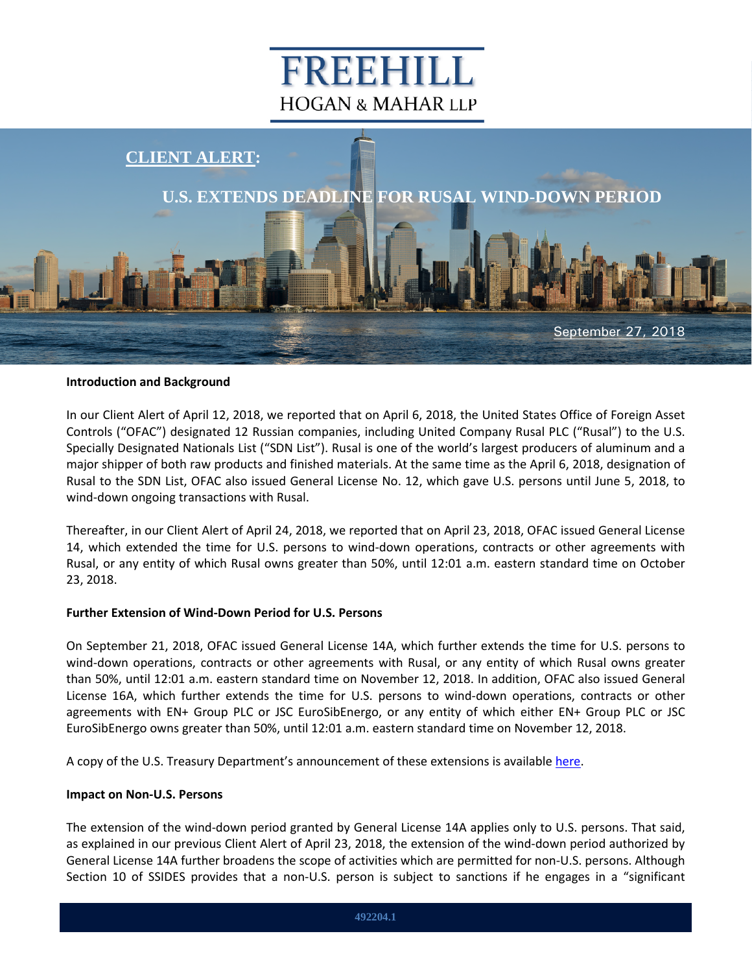# FREEHILL **HOGAN & MAHAR LLP**



### **Introduction and Background**

In our Client Alert of April 12, 2018, we reported that on April 6, 2018, the United States Office of Foreign Asset Controls ("OFAC") designated 12 Russian companies, including United Company Rusal PLC ("Rusal") to the U.S. Specially Designated Nationals List ("SDN List"). Rusal is one of the world's largest producers of aluminum and a major shipper of both raw products and finished materials. At the same time as the April 6, 2018, designation of Rusal to the SDN List, OFAC also issued General License No. 12, which gave U.S. persons until June 5, 2018, to wind-down ongoing transactions with Rusal.

Thereafter, in our Client Alert of April 24, 2018, we reported that on April 23, 2018, OFAC issued General License 14, which extended the time for U.S. persons to wind-down operations, contracts or other agreements with Rusal, or any entity of which Rusal owns greater than 50%, until 12:01 a.m. eastern standard time on October 23, 2018.

#### **Further Extension of Wind-Down Period for U.S. Persons**

On September 21, 2018, OFAC issued General License 14A, which further extends the time for U.S. persons to wind-down operations, contracts or other agreements with Rusal, or any entity of which Rusal owns greater than 50%, until 12:01 a.m. eastern standard time on November 12, 2018. In addition, OFAC also issued General License 16A, which further extends the time for U.S. persons to wind-down operations, contracts or other agreements with EN+ Group PLC or JSC EuroSibEnergo, or any entity of which either EN+ Group PLC or JSC EuroSibEnergo owns greater than 50%, until 12:01 a.m. eastern standard time on November 12, 2018.

A copy of the U.S. Treasury Department's announcement of these extensions is available [here.](https://home.treasury.gov/news/press-releases/sm492)

#### **Impact on Non-U.S. Persons**

The extension of the wind-down period granted by General License 14A applies only to U.S. persons. That said, as explained in our previous Client Alert of April 23, 2018, the extension of the wind-down period authorized by General License 14A further broadens the scope of activities which are permitted for non-U.S. persons. Although Section 10 of SSIDES provides that a non-U.S. person is subject to sanctions if he engages in a "significant